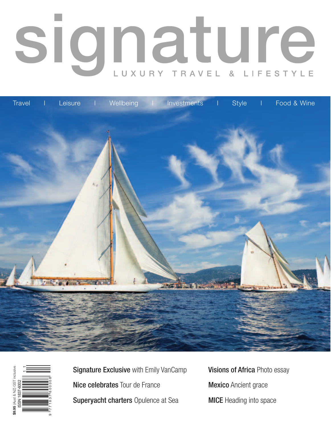## signature LUXURY TRAVEL  $\alpha$ LIFESTYLE





Signature Exclusive with Emily VanCamp Nice celebrates Tour de France Superyacht charters Opulence at Sea

Visions of Africa Photo essay **Mexico** Ancient grace MICE Heading into space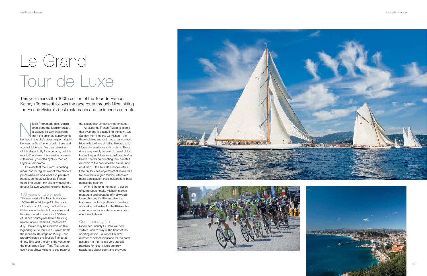This year marks the 100th edition of the Tour de France. Kathryn Tomasetti follows the race route through Nice, hitting the French Riviera's best restaurants and residences en route.

# Le Grand Tour de Luxe

lice's Promenade des Anglais arcs along the Mediterranean. It weaves its way westwards from the splendid superyachts berthed in the city's pleasure port, rippling between a 5km fringe of palm trees and a cobalt blue sea. I've been a resident of this elegant city for a decade, but this month I've shared this seaside boulevard with more Lycra-clad cyclists than an Olympic velodrome.

It's clear that the 'Prom' is hosting more than its regular mix of rollerbladers, pram-wheelers and weekend peddlers. Indeed, as the 2013 Tour de France gears into action, my city is witnessing a fervour for two-wheels like never before.

#### 100 years of two wheels

This year marks the Tour de France's 100th edition. Kicking off in the island of Corsica on 29 June, 'Le Tour' – as it's known in the land of baguettes and Bordeaux – will criss-cross 3,360km of French countryside before finishing up on Paris's Champs-Élysées on 21 July. Corsica may be a newbie on this legendary route, but Nice – which holds the race's fourth stage on 2 July – has proudly hosted the Tour de France 35 times. This year the city is the venue for the prestigious Team Time Trial too, an event that allows visitors to see more of

When I factor in the region's clutch of sumptuous hotels, Michelin-starred restaurant and decades of Hollywoodkissed history, it's little surprise that both keen cyclists and luxury travellers are making a beeline for the Riviera this summer – and a wonder anyone could ever bear to leave.

the action than almost any other stage.

All along the French Riviera, it seems that everyone is getting into the spirit. On Sunday mornings the Corniches – the three sublime seafront roads that connect Nice with the likes of hilltop Eze and chic Monaco – are dense with cyclists. These riders may simply be part of casual clubs, but as they puff their way past beach after beach, there's no doubting their heartfelt devotion to the two-wheeled cause. And on June 15, the Tour de France's official Fête du Tour sees cyclists of all levels take to the streets in gran fondos, which are mass participation cycle celebrations held across the country.

#### Contemporary flair

Nice's eco-friendly Hi Hotel will host visitors keen to stay at the heart of the sporting action. Laurence Shuktor, director of communications for the hotel assures me that "it is a very special moment for Nice. Niçois are truly passionate about sport and everyone







destinationfrance

47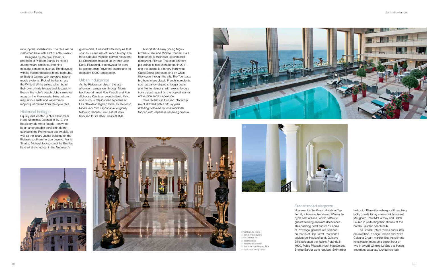runs, cycles, rollerblades. The race will be welcomed here with a lot of enthusiasm."

Designed by Mathali Crasset, a protégée of Philippe Starck, Hi Hotel's 38 rooms are sectioned into nine colourful concepts, such as Rendezvous, with its freestanding lava stone bathtubs, or Techno Corner, with surround-sound media systems. Pick of the bunch are the White & White suites, which boast their own private terrace and Jacuzzi. Hi Beach, the hotel's beach club, is minutes away on the Promenade. Here patrons may savour sushi and watermelon mojitos just metres from the cycle race.

#### Historical heritage

Equally well located is Nice's landmark Hotel Negresco. Opened in 1912, the hotel's ornate white façade – crowned by an unforgettable coral-pink dome – overlooks the Promenade des Anglais, as well as the luxury yachts bobbing on the Riviera's southern horizon beyond. Frank Sinatra, Michael Jackson and the Beatles have all stretched out in the Negresco's

guestrooms, furnished with antiques that span four centuries of French history. The hotel's double Michelin-starred restaurant Le Chantecler, headed up by chef Jean-Denis Rieubland, is renowned for both its gastronomic Provençal cuisine and its decadent 5,000-bottle cellar.

#### Urban indulgence

As the Riviera sun dips in the late afternoon, a meander through Nice's boutique-trimmed Rue Paradis and Rue Alphonse Karr is an event in itself. Pick up luxurious 20s-inspired bijouterie at Les Néréides' flagship store. Or stop into Nice's very own Façonnable, originally tailors to Cannes Film Festival, now favoured for its sleek, nautical style.

A short stroll away, young Niçois brothers Gaël and Mickaël Tourteaux are head chefs at their own experimental restaurant, Flaveur. The establishment picked up its first Michelin star in 2011, and the cuisine is a far cry from what Cadel Evans and team dine on when they cycle through the city. The Tourteaux brothers infuse classic French ingredients, such as candy-striped chioggia beets and Menton lemons, with exotic flavours from a youth spent on the tropical islands of Réunion and Guadeloupe.

On a recent visit I tucked into turnip ravioli drizzled with a citrusy yuzu dressing, followed by local monkfish topped with Japanese sesame gomasio.

#### Star-studded elegance

However, it's the Grand Hotel du Cap Ferrat, a ten-minute drive or 20-minute cycle east of Nice, which caters to guests seeking absolute decadence. This dazzling hotel and its 17 acres of Provençal gardens are perched on the tip of Cap Ferrat, the world's priciest peninsula of land. Gustave Eiffel designed the foyer's Rotunda in 1909. Pablo Picasso, Henri Matisse and Brigitte Bardot were regulars. Swimming









instructor Pierre Gruneberg – still teaching lucky guests today – assisted Somerset Maugham, Paul McCartney and Ralph Lauren in perfecting their strokes at the hotel's Dauphin beach club.

The Grand Hotel's rooms and suites are swathed in beige Persian and white Calcuna Cream marble. But the ultimate in relaxation must be a stolen hour or two in award-winning Le Spa's al fresco treatment cabanas, tucked into lush

01 Yachts on the Riviera 02 Tour de France cyclists 03 Vue Generale Port 04 Hotel Negresco 05 Hotel Negresco interior 06 Pool at the Hyatt Regency, Nice 07 Grand Hotel du Cap Ferrat